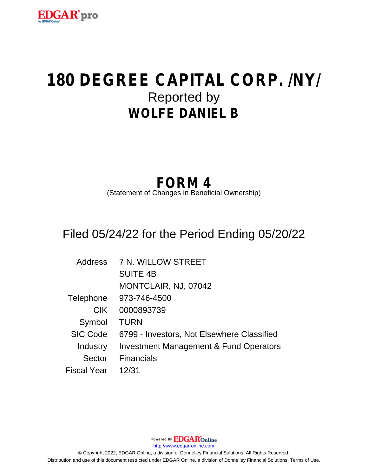

# **180 DEGREE CAPITAL CORP. /NY/** Reported by **WOLFE DANIEL B**

# **FORM 4**

(Statement of Changes in Beneficial Ownership)

## Filed 05/24/22 for the Period Ending 05/20/22

| <b>Address</b>  | <b>7 N. WILLOW STREET</b>                         |
|-----------------|---------------------------------------------------|
|                 | <b>SUITE 4B</b>                                   |
|                 | MONTCLAIR, NJ, 07042                              |
| Telephone       | 973-746-4500                                      |
| <b>CIK</b>      | 0000893739                                        |
| Symbol          | <b>TURN</b>                                       |
| <b>SIC Code</b> | 6799 - Investors, Not Elsewhere Classified        |
| Industry        | <b>Investment Management &amp; Fund Operators</b> |
| Sector          | <b>Financials</b>                                 |
| Fiscal Year     | 12/31                                             |

Powered By **EDGAR**Online

http://www.edgar-online.com

© Copyright 2022, EDGAR Online, a division of Donnelley Financial Solutions. All Rights Reserved. Distribution and use of this document restricted under EDGAR Online, a division of Donnelley Financial Solutions, Terms of Use.